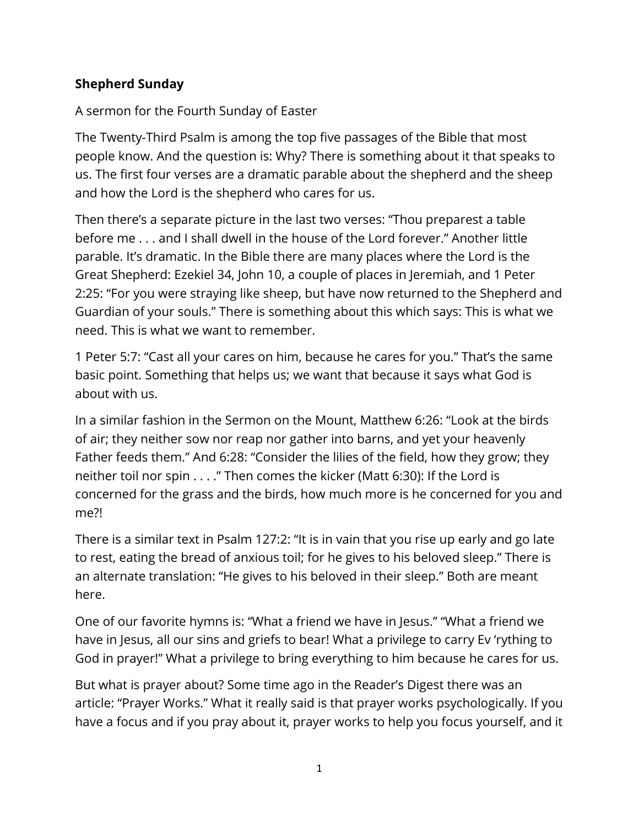## **Shepherd Sunday**

## A sermon for the Fourth Sunday of Easter

The Twenty-Third Psalm is among the top five passages of the Bible that most people know. And the question is: Why? There is something about it that speaks to us. The first four verses are a dramatic parable about the shepherd and the sheep and how the Lord is the shepherd who cares for us.

Then there's a separate picture in the last two verses: "Thou preparest a table before me . . . and I shall dwell in the house of the Lord forever." Another little parable. It's dramatic. In the Bible there are many places where the Lord is the Great Shepherd: Ezekiel 34, John 10, a couple of places in Jeremiah, and 1 Peter 2:25: "For you were straying like sheep, but have now returned to the Shepherd and Guardian of your souls." There is something about this which says: This is what we need. This is what we want to remember.

1 Peter 5:7: "Cast all your cares on him, because he cares for you." That's the same basic point. Something that helps us; we want that because it says what God is about with us.

In a similar fashion in the Sermon on the Mount, Matthew 6:26: "Look at the birds of air; they neither sow nor reap nor gather into barns, and yet your heavenly Father feeds them." And 6:28: "Consider the lilies of the field, how they grow; they neither toil nor spin . . . ." Then comes the kicker (Matt 6:30): If the Lord is concerned for the grass and the birds, how much more is he concerned for you and me?!

There is a similar text in Psalm 127:2: "It is in vain that you rise up early and go late to rest, eating the bread of anxious toil; for he gives to his beloved sleep." There is an alternate translation: "He gives to his beloved in their sleep." Both are meant here.

One of our favorite hymns is: "What a friend we have in Jesus." "What a friend we have in Jesus, all our sins and griefs to bear! What a privilege to carry Ev 'rything to God in prayer!" What a privilege to bring everything to him because he cares for us.

But what is prayer about? Some time ago in the Reader's Digest there was an article: "Prayer Works." What it really said is that prayer works psychologically. If you have a focus and if you pray about it, prayer works to help you focus yourself, and it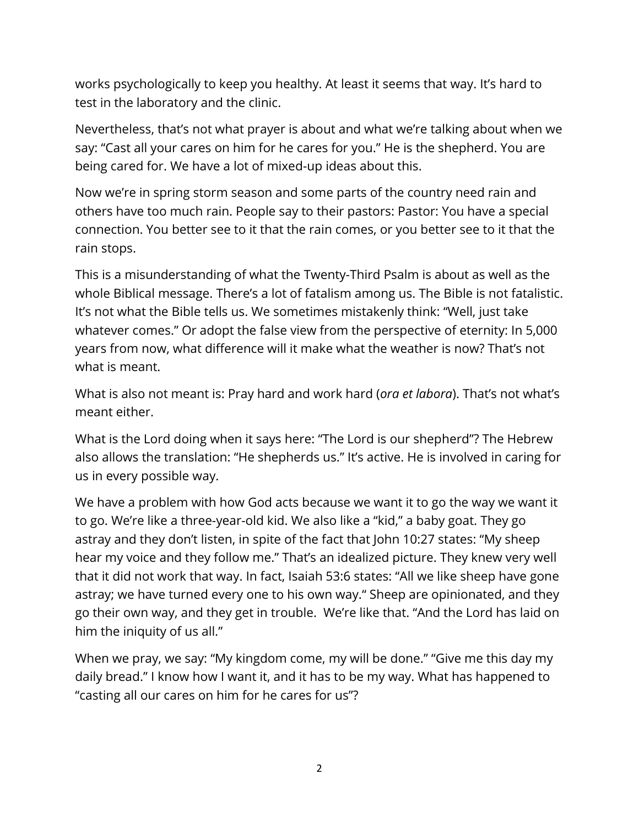works psychologically to keep you healthy. At least it seems that way. It's hard to test in the laboratory and the clinic.

Nevertheless, that's not what prayer is about and what we're talking about when we say: "Cast all your cares on him for he cares for you." He is the shepherd. You are being cared for. We have a lot of mixed-up ideas about this.

Now we're in spring storm season and some parts of the country need rain and others have too much rain. People say to their pastors: Pastor: You have a special connection. You better see to it that the rain comes, or you better see to it that the rain stops.

This is a misunderstanding of what the Twenty-Third Psalm is about as well as the whole Biblical message. There's a lot of fatalism among us. The Bible is not fatalistic. It's not what the Bible tells us. We sometimes mistakenly think: "Well, just take whatever comes." Or adopt the false view from the perspective of eternity: In 5,000 years from now, what difference will it make what the weather is now? That's not what is meant.

What is also not meant is: Pray hard and work hard (*ora et labora*). That's not what's meant either.

What is the Lord doing when it says here: "The Lord is our shepherd"? The Hebrew also allows the translation: "He shepherds us." It's active. He is involved in caring for us in every possible way.

We have a problem with how God acts because we want it to go the way we want it to go. We're like a three-year-old kid. We also like a "kid," a baby goat. They go astray and they don't listen, in spite of the fact that John 10:27 states: "My sheep hear my voice and they follow me." That's an idealized picture. They knew very well that it did not work that way. In fact, Isaiah 53:6 states: "All we like sheep have gone astray; we have turned every one to his own way." Sheep are opinionated, and they go their own way, and they get in trouble. We're like that. "And the Lord has laid on him the iniquity of us all."

When we pray, we say: "My kingdom come, my will be done." "Give me this day my daily bread." I know how I want it, and it has to be my way. What has happened to "casting all our cares on him for he cares for us"?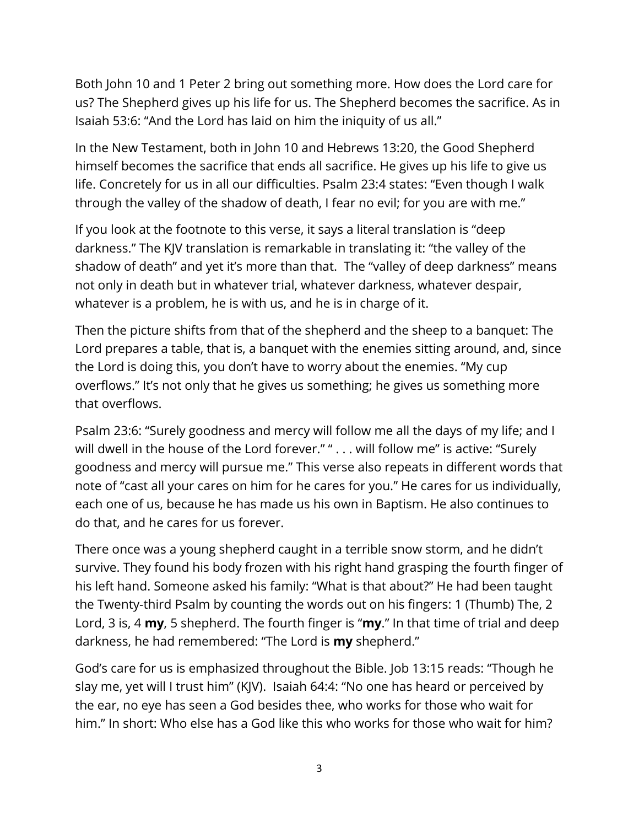Both John 10 and 1 Peter 2 bring out something more. How does the Lord care for us? The Shepherd gives up his life for us. The Shepherd becomes the sacrifice. As in Isaiah 53:6: "And the Lord has laid on him the iniquity of us all."

In the New Testament, both in John 10 and Hebrews 13:20, the Good Shepherd himself becomes the sacrifice that ends all sacrifice. He gives up his life to give us life. Concretely for us in all our difficulties. Psalm 23:4 states: "Even though I walk through the valley of the shadow of death, I fear no evil; for you are with me."

If you look at the footnote to this verse, it says a literal translation is "deep darkness." The KJV translation is remarkable in translating it: "the valley of the shadow of death" and yet it's more than that. The "valley of deep darkness" means not only in death but in whatever trial, whatever darkness, whatever despair, whatever is a problem, he is with us, and he is in charge of it.

Then the picture shifts from that of the shepherd and the sheep to a banquet: The Lord prepares a table, that is, a banquet with the enemies sitting around, and, since the Lord is doing this, you don't have to worry about the enemies. "My cup overflows." It's not only that he gives us something; he gives us something more that overflows.

Psalm 23:6: "Surely goodness and mercy will follow me all the days of my life; and I will dwell in the house of the Lord forever." " . . . will follow me" is active: "Surely goodness and mercy will pursue me." This verse also repeats in different words that note of "cast all your cares on him for he cares for you." He cares for us individually, each one of us, because he has made us his own in Baptism. He also continues to do that, and he cares for us forever.

There once was a young shepherd caught in a terrible snow storm, and he didn't survive. They found his body frozen with his right hand grasping the fourth finger of his left hand. Someone asked his family: "What is that about?" He had been taught the Twenty-third Psalm by counting the words out on his fingers: 1 (Thumb) The, 2 Lord, 3 is, 4 **my**, 5 shepherd. The fourth finger is "**my**." In that time of trial and deep darkness, he had remembered: "The Lord is **my** shepherd."

God's care for us is emphasized throughout the Bible. Job 13:15 reads: "Though he slay me, yet will I trust him" (KJV). Isaiah 64:4: "No one has heard or perceived by the ear, no eye has seen a God besides thee, who works for those who wait for him." In short: Who else has a God like this who works for those who wait for him?